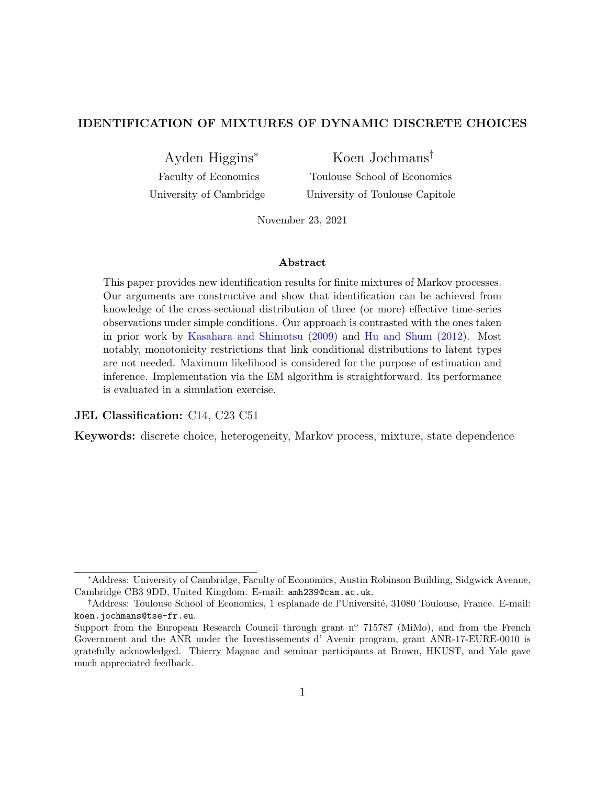#### IDENTIFICATION OF MIXTURES OF DYNAMIC DISCRETE CHOICES

Ayden Higgins<sup>∗</sup>

Koen Jochmans†

Faculty of Economics University of Cambridge

Toulouse School of Economics University of Toulouse Capitole

November 23, 2021

#### Abstract

This paper provides new identification results for finite mixtures of Markov processes. Our arguments are constructive and show that identification can be achieved from knowledge of the cross-sectional distribution of three (or more) effective time-series observations under simple conditions. Our approach is contrasted with the ones taken in prior work by [Kasahara and Shimotsu \(2009\)](#page-19-0) and [Hu and Shum \(2012\)](#page-19-1). Most notably, monotonicity restrictions that link conditional distributions to latent types are not needed. Maximum likelihood is considered for the purpose of estimation and inference. Implementation via the EM algorithm is straightforward. Its performance is evaluated in a simulation exercise.

#### JEL Classification: C14, C23 C51

Keywords: discrete choice, heterogeneity, Markov process, mixture, state dependence

<sup>∗</sup>Address: University of Cambridge, Faculty of Economics, Austin Robinson Building, Sidgwick Avenue, Cambridge CB3 9DD, United Kingdom. E-mail: amh239@cam.ac.uk.

<sup>&</sup>lt;sup>†</sup>Address: Toulouse School of Economics, 1 esplanade de l'Université, 31080 Toulouse, France. E-mail: koen.jochmans@tse-fr.eu.

Support from the European Research Council through grant n<sup>o</sup> 715787 (MiMo), and from the French Government and the ANR under the Investissements d' Avenir program, grant ANR-17-EURE-0010 is gratefully acknowledged. Thierry Magnac and seminar participants at Brown, HKUST, and Yale gave much appreciated feedback.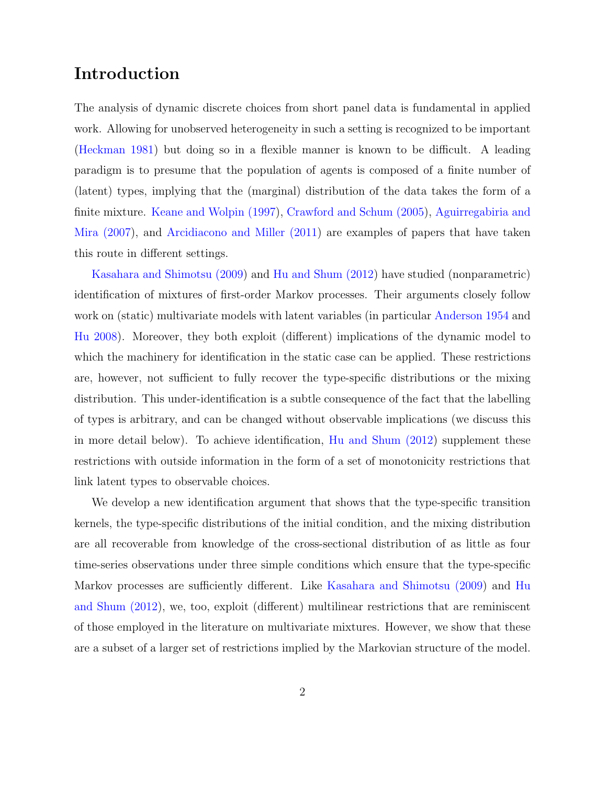# Introduction

The analysis of dynamic discrete choices from short panel data is fundamental in applied work. Allowing for unobserved heterogeneity in such a setting is recognized to be important [\(Heckman 1981\)](#page-19-2) but doing so in a flexible manner is known to be difficult. A leading paradigm is to presume that the population of agents is composed of a finite number of (latent) types, implying that the (marginal) distribution of the data takes the form of a finite mixture. [Keane and Wolpin \(1997\)](#page-19-3), [Crawford and Schum \(2005\)](#page-18-0), [Aguirregabiria and](#page-18-1) [Mira \(2007\)](#page-18-1), and [Arcidiacono and Miller \(2011\)](#page-18-2) are examples of papers that have taken this route in different settings.

[Kasahara and Shimotsu \(2009\)](#page-19-0) and [Hu and Shum \(2012\)](#page-19-1) have studied (nonparametric) identification of mixtures of first-order Markov processes. Their arguments closely follow work on (static) multivariate models with latent variables (in particular [Anderson 1954](#page-18-3) and [Hu 2008\)](#page-19-4). Moreover, they both exploit (different) implications of the dynamic model to which the machinery for identification in the static case can be applied. These restrictions are, however, not sufficient to fully recover the type-specific distributions or the mixing distribution. This under-identification is a subtle consequence of the fact that the labelling of types is arbitrary, and can be changed without observable implications (we discuss this in more detail below). To achieve identification, [Hu and Shum \(2012\)](#page-19-1) supplement these restrictions with outside information in the form of a set of monotonicity restrictions that link latent types to observable choices.

We develop a new identification argument that shows that the type-specific transition kernels, the type-specific distributions of the initial condition, and the mixing distribution are all recoverable from knowledge of the cross-sectional distribution of as little as four time-series observations under three simple conditions which ensure that the type-specific Markov processes are sufficiently different. Like [Kasahara and Shimotsu \(2009\)](#page-19-0) and [Hu](#page-19-1) [and Shum \(2012\)](#page-19-1), we, too, exploit (different) multilinear restrictions that are reminiscent of those employed in the literature on multivariate mixtures. However, we show that these are a subset of a larger set of restrictions implied by the Markovian structure of the model.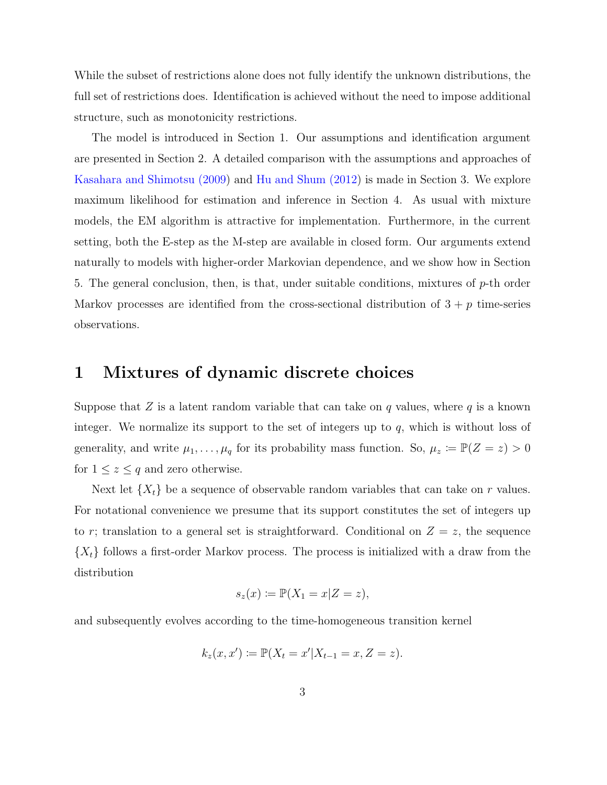While the subset of restrictions alone does not fully identify the unknown distributions, the full set of restrictions does. Identification is achieved without the need to impose additional structure, such as monotonicity restrictions.

The model is introduced in Section 1. Our assumptions and identification argument are presented in Section 2. A detailed comparison with the assumptions and approaches of [Kasahara and Shimotsu \(2009\)](#page-19-0) and [Hu and Shum \(2012\)](#page-19-1) is made in Section 3. We explore maximum likelihood for estimation and inference in Section 4. As usual with mixture models, the EM algorithm is attractive for implementation. Furthermore, in the current setting, both the E-step as the M-step are available in closed form. Our arguments extend naturally to models with higher-order Markovian dependence, and we show how in Section 5. The general conclusion, then, is that, under suitable conditions, mixtures of  $p$ -th order Markov processes are identified from the cross-sectional distribution of  $3 + p$  time-series observations.

### 1 Mixtures of dynamic discrete choices

Suppose that  $Z$  is a latent random variable that can take on  $q$  values, where  $q$  is a known integer. We normalize its support to the set of integers up to  $q$ , which is without loss of generality, and write  $\mu_1, \ldots, \mu_q$  for its probability mass function. So,  $\mu_z := \mathbb{P}(Z = z) > 0$ for  $1 \leq z \leq q$  and zero otherwise.

Next let  $\{X_t\}$  be a sequence of observable random variables that can take on r values. For notational convenience we presume that its support constitutes the set of integers up to r; translation to a general set is straightforward. Conditional on  $Z = z$ , the sequence  ${X<sub>t</sub>}$  follows a first-order Markov process. The process is initialized with a draw from the distribution

$$
s_z(x) \coloneqq \mathbb{P}(X_1 = x | Z = z),
$$

and subsequently evolves according to the time-homogeneous transition kernel

$$
k_z(x, x') := \mathbb{P}(X_t = x'|X_{t-1} = x, Z = z).
$$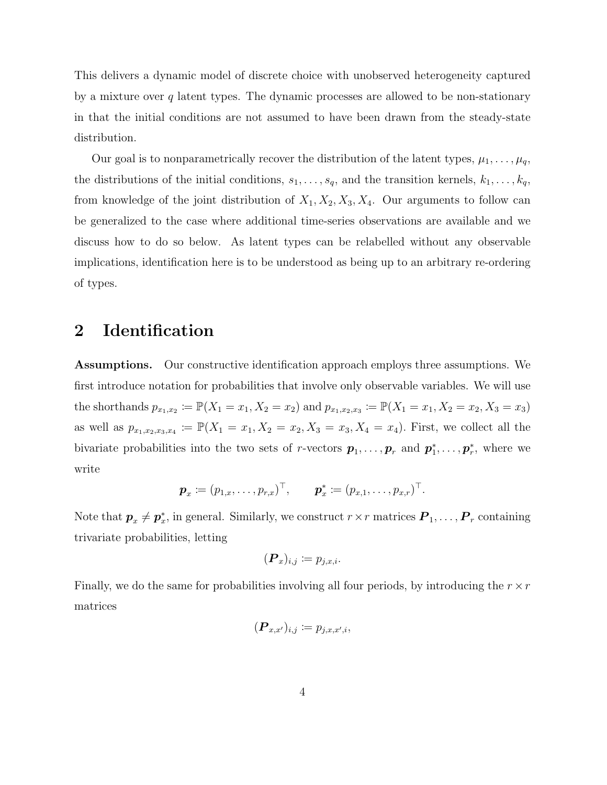This delivers a dynamic model of discrete choice with unobserved heterogeneity captured by a mixture over  $q$  latent types. The dynamic processes are allowed to be non-stationary in that the initial conditions are not assumed to have been drawn from the steady-state distribution.

Our goal is to nonparametrically recover the distribution of the latent types,  $\mu_1, \ldots, \mu_q$ , the distributions of the initial conditions,  $s_1, \ldots, s_q$ , and the transition kernels,  $k_1, \ldots, k_q$ , from knowledge of the joint distribution of  $X_1, X_2, X_3, X_4$ . Our arguments to follow can be generalized to the case where additional time-series observations are available and we discuss how to do so below. As latent types can be relabelled without any observable implications, identification here is to be understood as being up to an arbitrary re-ordering of types.

## 2 Identification

Assumptions. Our constructive identification approach employs three assumptions. We first introduce notation for probabilities that involve only observable variables. We will use the shorthands  $p_{x_1,x_2} := \mathbb{P}(X_1 = x_1, X_2 = x_2)$  and  $p_{x_1,x_2,x_3} := \mathbb{P}(X_1 = x_1, X_2 = x_2, X_3 = x_3)$ as well as  $p_{x_1,x_2,x_3,x_4} := \mathbb{P}(X_1 = x_1, X_2 = x_2, X_3 = x_3, X_4 = x_4)$ . First, we collect all the bivariate probabilities into the two sets of r-vectors  $p_1, \ldots, p_r$  and  $p_1^*, \ldots, p_r^*$ , where we write

$$
\mathbf{p}_x := (p_{1,x}, \ldots, p_{r,x})^\top, \quad \mathbf{p}_x^* := (p_{x,1}, \ldots, p_{x,r})^\top.
$$

Note that  $p_x \neq p_x^*$ , in general. Similarly, we construct  $r \times r$  matrices  $P_1, \ldots, P_r$  containing trivariate probabilities, letting

$$
(\boldsymbol{P}_x)_{i,j} \coloneqq p_{j,x,i}.
$$

Finally, we do the same for probabilities involving all four periods, by introducing the  $r \times r$ matrices

$$
(\boldsymbol{P}_{x,x'})_{i,j} \coloneqq p_{j,x,x',i},
$$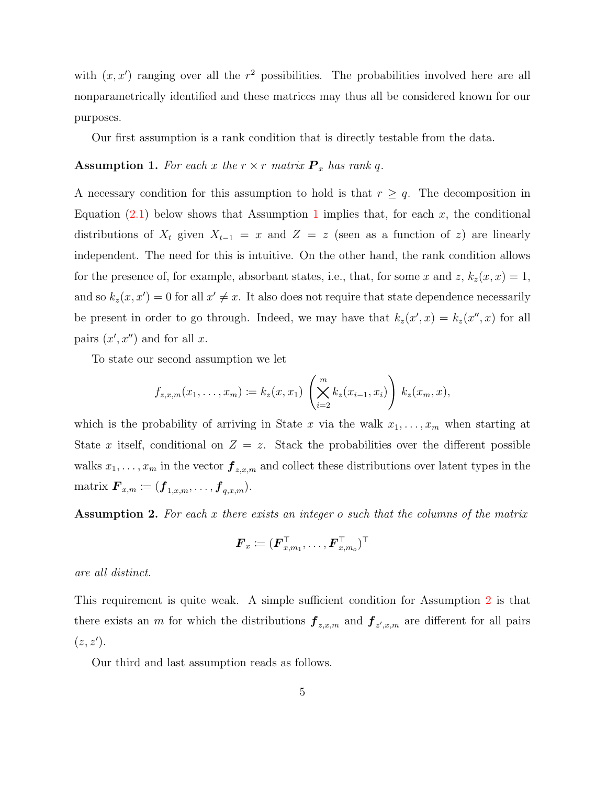with  $(x, x')$  ranging over all the  $r<sup>2</sup>$  possibilities. The probabilities involved here are all nonparametrically identified and these matrices may thus all be considered known for our purposes.

Our first assumption is a rank condition that is directly testable from the data.

#### <span id="page-4-0"></span>**Assumption 1.** For each x the  $r \times r$  matrix  $P_x$  has rank q.

A necessary condition for this assumption to hold is that  $r \geq q$ . The decomposition in Equation [\(2.1\)](#page-5-0) below shows that Assumption [1](#page-4-0) implies that, for each x, the conditional distributions of  $X_t$  given  $X_{t-1} = x$  and  $Z = z$  (seen as a function of z) are linearly independent. The need for this is intuitive. On the other hand, the rank condition allows for the presence of, for example, absorbant states, i.e., that, for some x and z,  $k_z(x, x) = 1$ , and so  $k_z(x, x') = 0$  for all  $x' \neq x$ . It also does not require that state dependence necessarily be present in order to go through. Indeed, we may have that  $k_z(x', x) = k_z(x'', x)$  for all pairs  $(x', x'')$  and for all x.

To state our second assumption we let

$$
f_{z,x,m}(x_1,\ldots,x_m) := k_z(x,x_1) \left(\bigtimes_{i=2}^m k_z(x_{i-1},x_i)\right) k_z(x_m,x),
$$

which is the probability of arriving in State x via the walk  $x_1, \ldots, x_m$  when starting at State x itself, conditional on  $Z = z$ . Stack the probabilities over the different possible walks  $x_1, \ldots, x_m$  in the vector  $\mathbf{f}_{z,x,m}$  and collect these distributions over latent types in the matrix  $\boldsymbol{F}_{x,m} \coloneqq (\boldsymbol{f}_{1,x,m}, \ldots, \boldsymbol{f}_{q,x,m}).$ 

<span id="page-4-1"></span>Assumption 2. For each x there exists an integer o such that the columns of the matrix

$$
\bm{F}_x \coloneqq (\bm{F}_{x,m_1}^{\top}, \ldots, \bm{F}_{x,m_o}^{\top})^{\top}
$$

are all distinct.

This requirement is quite weak. A simple sufficient condition for Assumption [2](#page-4-1) is that there exists an m for which the distributions  $\bm{f}_{z,x,m}$  and  $\bm{f}_{z',x,m}$  are different for all pairs  $(z, z').$ 

Our third and last assumption reads as follows.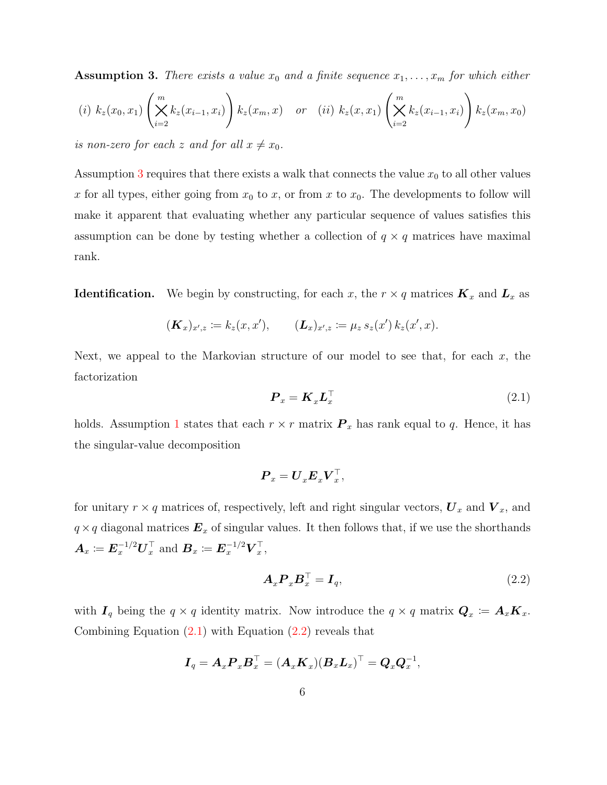<span id="page-5-1"></span>**Assumption 3.** There exists a value  $x_0$  and a finite sequence  $x_1, \ldots, x_m$  for which either

$$
(i) \ k_z(x_0, x_1) \left( \sum_{i=2}^m k_z(x_{i-1}, x_i) \right) k_z(x_m, x) \quad \text{or} \quad (ii) \ k_z(x, x_1) \left( \sum_{i=2}^m k_z(x_{i-1}, x_i) \right) k_z(x_m, x_0)
$$

is non-zero for each z and for all  $x \neq x_0$ .

Assumption [3](#page-5-1) requires that there exists a walk that connects the value  $x_0$  to all other values x for all types, either going from  $x_0$  to x, or from x to  $x_0$ . The developments to follow will make it apparent that evaluating whether any particular sequence of values satisfies this assumption can be done by testing whether a collection of  $q \times q$  matrices have maximal rank.

**Identification.** We begin by constructing, for each x, the  $r \times q$  matrices  $\mathbf{K}_x$  and  $\mathbf{L}_x$  as

$$
(\mathbf{K}_x)_{x',z} \coloneqq k_z(x,x'), \qquad (\mathbf{L}_x)_{x',z} \coloneqq \mu_z s_z(x') k_z(x',x).
$$

Next, we appeal to the Markovian structure of our model to see that, for each  $x$ , the factorization

<span id="page-5-0"></span>
$$
\boldsymbol{P}_x = \boldsymbol{K}_x \boldsymbol{L}_x^\top \tag{2.1}
$$

holds. Assumption [1](#page-4-0) states that each  $r \times r$  matrix  $\mathbf{P}_x$  has rank equal to q. Hence, it has the singular-value decomposition

$$
\bm{P}_x = \bm{U}_x \bm{E}_x \bm{V}_x^\top,
$$

for unitary  $r \times q$  matrices of, respectively, left and right singular vectors,  $U_x$  and  $V_x$ , and  $q \times q$  diagonal matrices  $E_x$  of singular values. It then follows that, if we use the shorthands  $\boldsymbol{A}_x \coloneqq \boldsymbol{E}_x^{-1/2} \boldsymbol{U}_x^\top$  $\frac{\top}{x}$  and  $\boldsymbol{B}_x \coloneqq \boldsymbol{E}_x^{-1/2} \boldsymbol{V}_x^{\top}$  $\frac{1}{x}$ ,

<span id="page-5-2"></span>
$$
\boldsymbol{A}_x \boldsymbol{P}_x \boldsymbol{B}_x^\top = \boldsymbol{I}_q,\tag{2.2}
$$

with  $I_q$  being the  $q \times q$  identity matrix. Now introduce the  $q \times q$  matrix  $Q_x := A_x K_x$ . Combining Equation  $(2.1)$  with Equation  $(2.2)$  reveals that

$$
\boldsymbol{I}_q = \boldsymbol{A}_x \boldsymbol{P}_x \boldsymbol{B}_x^\top = (\boldsymbol{A}_x \boldsymbol{K}_x) (\boldsymbol{B}_x \boldsymbol{L}_x)^\top = \boldsymbol{Q}_x \boldsymbol{Q}_x^{-1},
$$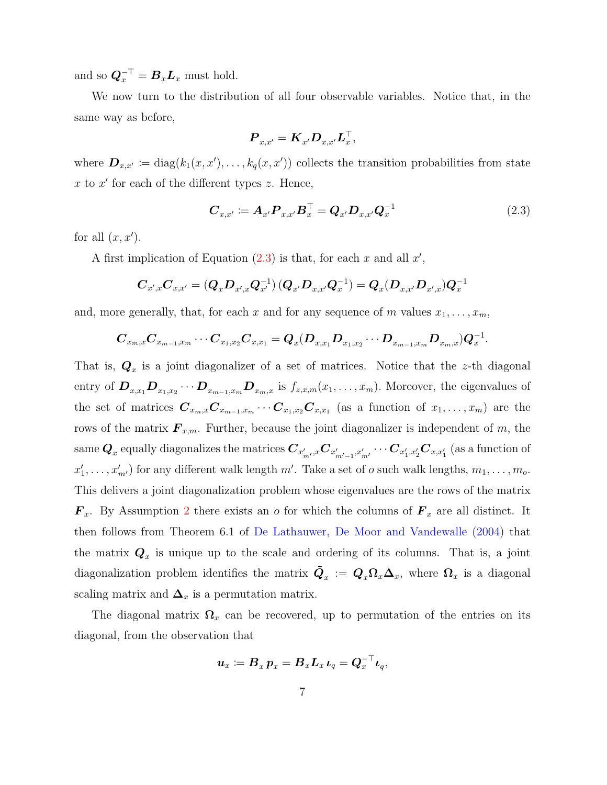and so  $\mathbf{Q}_x^{-\top} = \mathbf{B}_x \mathbf{L}_x$  must hold.

We now turn to the distribution of all four observable variables. Notice that, in the same way as before,

$$
\boldsymbol{P}_{x,x'} = \boldsymbol{K}_{x'} \boldsymbol{D}_{x,x'} \boldsymbol{L}_{x}^\top,
$$

where  $\mathbf{D}_{x,x'} \coloneqq \text{diag}(k_1(x,x'), \ldots, k_q(x,x'))$  collects the transition probabilities from state  $x$  to  $x'$  for each of the different types z. Hence,

<span id="page-6-0"></span>
$$
C_{x,x'} := A_{x'} P_{x,x'} B_x^\top = Q_{x'} D_{x,x'} Q_x^{-1}
$$
\n(2.3)

for all  $(x, x')$ .

A first implication of Equation  $(2.3)$  is that, for each x and all  $x'$ ,

$$
\boldsymbol{C}_{x',x}\boldsymbol{C}_{x,x'} = \left(\boldsymbol{Q}_x\boldsymbol{D}_{x',x}\boldsymbol{Q}_{x'}^{-1}\right)\left(\boldsymbol{Q}_{x'}\boldsymbol{D}_{x,x'}\boldsymbol{Q}_{x}^{-1}\right) = \boldsymbol{Q}_x(\boldsymbol{D}_{x,x'}\boldsymbol{D}_{x',x})\boldsymbol{Q}_{x}^{-1}
$$

and, more generally, that, for each x and for any sequence of m values  $x_1, \ldots, x_m$ ,

$$
\boldsymbol{C}_{x_m,x}\boldsymbol{C}_{x_{m-1},x_m}\cdots \boldsymbol{C}_{x_1,x_2}\boldsymbol{C}_{x,x_1} = \boldsymbol{Q}_x(\boldsymbol{D}_{x,x_1}\boldsymbol{D}_{x_1,x_2}\cdots \boldsymbol{D}_{x_{m-1},x_m}\boldsymbol{D}_{x_m,x})\boldsymbol{Q}_x^{-1}.
$$

That is,  $\mathbf{Q}_x$  is a joint diagonalizer of a set of matrices. Notice that the z-th diagonal entry of  $D_{x,x_1}D_{x_1,x_2}\cdots D_{x_{m-1},x_m}D_{x_m,x}$  is  $f_{z,x,m}(x_1,\ldots,x_m)$ . Moreover, the eigenvalues of the set of matrices  $C_{x_m,x}C_{x_{m-1},x_m}\cdots C_{x_1,x_2}C_{x,x_1}$  (as a function of  $x_1,\ldots,x_m$ ) are the rows of the matrix  $\mathbf{F}_{x,m}$ . Further, because the joint diagonalizer is independent of m, the  ${\bf Q}_x$  equally diagonalizes the matrices  $\bm C_{x_{m'}',x} \bm C_{x_{m'-1}',x_{m'}'} \cdots \bm C_{x_1',x_2'} \bm C_{x,x_1'}$  (as a function of  $x'_1, \ldots, x'_{m'}$  for any different walk length  $m'$ . Take a set of  $o$  such walk lengths,  $m_1, \ldots, m_o$ . This delivers a joint diagonalization problem whose eigenvalues are the rows of the matrix  $\mathbf{F}_x$ . By Assumption [2](#page-4-1) there exists an *o* for which the columns of  $\mathbf{F}_x$  are all distinct. It then follows from Theorem 6.1 of [De Lathauwer, De Moor and Vandewalle \(2004\)](#page-18-4) that the matrix  $\mathbf{Q}_x$  is unique up to the scale and ordering of its columns. That is, a joint diagonalization problem identifies the matrix  $\tilde{Q}_x := Q_x \Omega_x \Delta_x$ , where  $\Omega_x$  is a diagonal scaling matrix and  $\Delta_x$  is a permutation matrix.

The diagonal matrix  $\Omega_x$  can be recovered, up to permutation of the entries on its diagonal, from the observation that

$$
\boldsymbol{u}_x\coloneqq \boldsymbol{B}_x\, \boldsymbol{p}_x = \boldsymbol{B}_x \boldsymbol{L}_x\, \boldsymbol{\iota}_q = \boldsymbol{Q}_x^{-\top}\boldsymbol{\iota}_q,
$$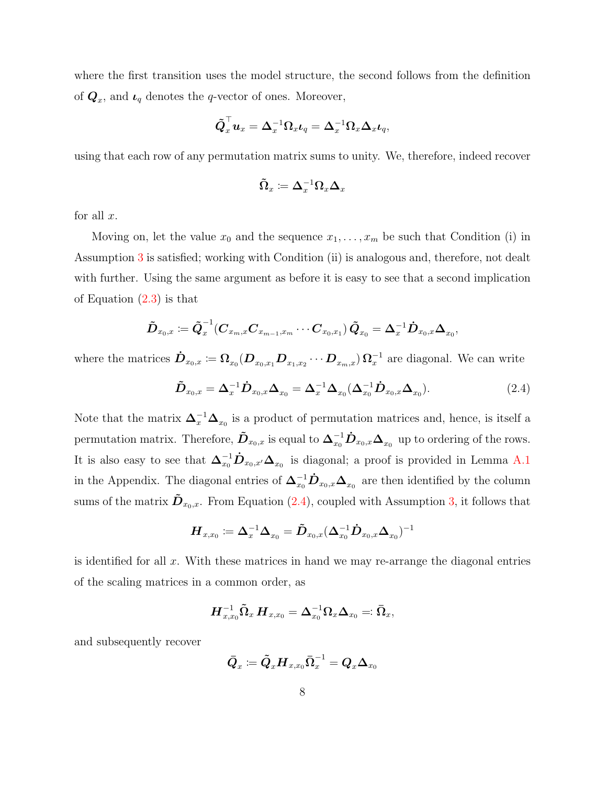where the first transition uses the model structure, the second follows from the definition of  $\mathbf{Q}_x$ , and  $\mathbf{L}_q$  denotes the q-vector of ones. Moreover,

$$
\tilde{\boldsymbol{Q}}_x^\top \boldsymbol{u}_x = \boldsymbol{\Delta}_x^{-1} \boldsymbol{\Omega}_x \boldsymbol{\iota}_q = \boldsymbol{\Delta}_x^{-1} \boldsymbol{\Omega}_x \boldsymbol{\Delta}_x \boldsymbol{\iota}_q,
$$

using that each row of any permutation matrix sums to unity. We, therefore, indeed recover

$$
\tilde{\mathbf{\Omega}}_x\coloneqq \mathbf{\Delta}_x^{-1}\mathbf{\Omega}_x\mathbf{\Delta}_x
$$

for all  $x$ .

Moving on, let the value  $x_0$  and the sequence  $x_1, \ldots, x_m$  be such that Condition (i) in Assumption [3](#page-5-1) is satisfied; working with Condition (ii) is analogous and, therefore, not dealt with further. Using the same argument as before it is easy to see that a second implication of Equation [\(2.3\)](#page-6-0) is that

$$
\tilde{\bm{D}}_{x_0,x} \coloneqq \tilde{\bm{Q}}_{x}^{-1}(\bm{C}_{x_m,x}\bm{C}_{x_{m-1},x_m}\cdots \bm{C}_{x_0,x_1})\,\tilde{\bm{Q}}_{x_0} = \bm{\Delta}_{x}^{-1}\dot{\bm{D}}_{x_0,x}\bm{\Delta}_{x_0},
$$

where the matrices  $\dot{\bm{D}}_{x_0,x} \coloneqq \Omega_{x_0}(\bm{D}_{x_0,x_1}\bm{D}_{x_1,x_2}\cdots \bm{D}_{x_m,x})\,\Omega_x^{-1}$  $x^{\text{-}1}$  are diagonal. We can write

<span id="page-7-0"></span>
$$
\tilde{\boldsymbol{D}}_{x_0,x} = \boldsymbol{\Delta}_x^{-1} \dot{\boldsymbol{D}}_{x_0,x} \boldsymbol{\Delta}_{x_0} = \boldsymbol{\Delta}_x^{-1} \boldsymbol{\Delta}_{x_0} (\boldsymbol{\Delta}_{x_0}^{-1} \dot{\boldsymbol{D}}_{x_0,x} \boldsymbol{\Delta}_{x_0}). \tag{2.4}
$$

Note that the matrix  $\Delta_x^{-1}\Delta_{x_0}$  is a product of permutation matrices and, hence, is itself a permutation matrix. Therefore,  $\tilde{\bm{D}}_{x_0,x}$  is equal to  $\Delta_{x_0}^{-1} \dot{\bm{D}}_{x_0,x} \Delta_{x_0}$  up to ordering of the rows. It is also easy to see that  $\Delta_{x_0}^{-1}D_{x_0,x'}\Delta_{x_0}$  is diagonal; a proof is provided in Lemma [A.1](#page-17-0) in the Appendix. The diagonal entries of  $\Delta_{x_0}^{-1}$   $\dot{D}_{x_0,x}\Delta_{x_0}$  are then identified by the column sums of the matrix  $\tilde{\mathbf{D}}_{x_0,x}$ . From Equation [\(2.4\)](#page-7-0), coupled with Assumption [3,](#page-5-1) it follows that

$$
\boldsymbol{H}_{x,x_0} \coloneqq \boldsymbol{\Delta}_x^{-1}\boldsymbol{\Delta}_{x_0} = \tilde{\boldsymbol{D}}_{x_0,x}(\boldsymbol{\Delta}_{x_0}^{-1}\dot{\boldsymbol{D}}_{x_0,x}\boldsymbol{\Delta}_{x_0})^{-1}
$$

is identified for all  $x$ . With these matrices in hand we may re-arrange the diagonal entries of the scaling matrices in a common order, as

$$
\boldsymbol{H}_{x,x_0}^{-1}\boldsymbol{\tilde{\Omega}}_x\,\boldsymbol{H}_{x,x_0}=\boldsymbol{\Delta}_{x_0}^{-1}\boldsymbol{\Omega}_x\boldsymbol{\Delta}_{x_0}=:\boldsymbol{\bar{\Omega}}_x,
$$

and subsequently recover

$$
\bar{\boldsymbol{Q}}_x\coloneqq \tilde{\boldsymbol{Q}}_x\boldsymbol{H}_{x,x_0}\bar{\boldsymbol{\Omega}}_x^{-1}=\boldsymbol{Q}_x\boldsymbol{\Delta}_{x_0}
$$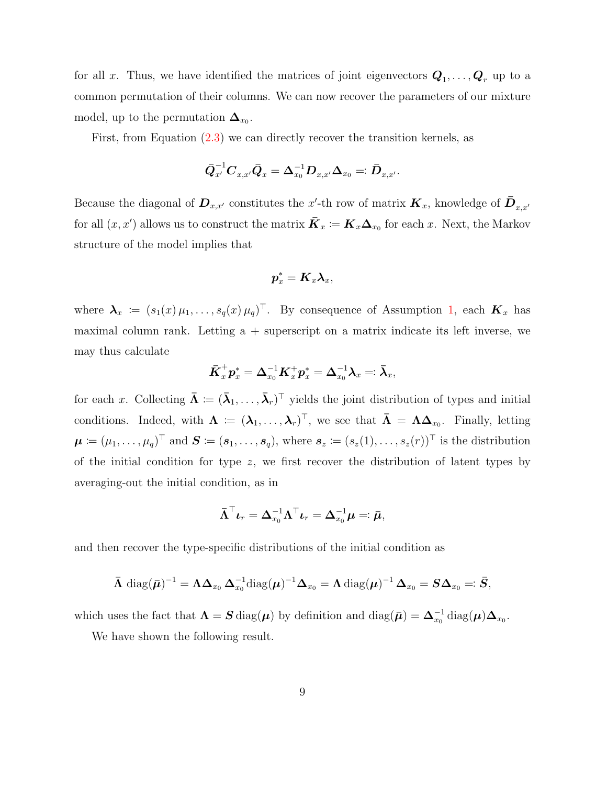for all x. Thus, we have identified the matrices of joint eigenvectors  $\mathbf{Q}_1, \ldots, \mathbf{Q}_r$  up to a common permutation of their columns. We can now recover the parameters of our mixture model, up to the permutation  $\Delta_{x_0}$ .

First, from Equation [\(2.3\)](#page-6-0) we can directly recover the transition kernels, as

$$
\bar{\bm{Q}}_{x'}^{-1}\bm{C}_{x,x'}\bar{\bm{Q}}_x = \bm{\Delta}_{x_0}^{-1}\bm{D}_{x,x'}\bm{\Delta}_{x_0} =: \bar{\bm{D}}_{x,x'}.
$$

Because the diagonal of  $D_{x,x'}$  constitutes the x'-th row of matrix  $K_x$ , knowledge of  $\bar{D}_{x,x'}$ for all  $(x, x')$  allows us to construct the matrix  $\bar{K}_x \coloneqq K_x \Delta_{x_0}$  for each x. Next, the Markov structure of the model implies that

$$
\boldsymbol{p}^*_x = \boldsymbol{K}_x \boldsymbol{\lambda}_x,
$$

where  $\lambda_x := (s_1(x) \mu_1, \ldots, s_q(x) \mu_q)^\top$  $\lambda_x := (s_1(x) \mu_1, \ldots, s_q(x) \mu_q)^\top$  $\lambda_x := (s_1(x) \mu_1, \ldots, s_q(x) \mu_q)^\top$ . By consequence of Assumption 1, each  $K_x$  has maximal column rank. Letting  $a +$  superscript on a matrix indicate its left inverse, we may thus calculate

$$
\bar{\boldsymbol{K}}_x^+ \boldsymbol{p}^*_x = \boldsymbol{\Delta}_{x_0}^{-1} \boldsymbol{K}_x^+ \boldsymbol{p}^*_x = \boldsymbol{\Delta}_{x_0}^{-1} \boldsymbol{\lambda}_x =: \bar{\boldsymbol{\lambda}}_x,
$$

for each x. Collecting  $\bar{\mathbf{\Lambda}} \coloneqq (\bar{\lambda}_1, \ldots, \bar{\lambda}_r)^T$  yields the joint distribution of types and initial conditions. Indeed, with  $\Lambda \coloneqq (\lambda_1, \ldots, \lambda_r)^\top$ , we see that  $\bar{\Lambda} = \Lambda \Delta_{x_0}$ . Finally, letting  $\boldsymbol{\mu} \coloneqq (\mu_1, \ldots, \mu_q)^\top$  and  $\boldsymbol{S} \coloneqq (\boldsymbol{s}_1, \ldots, \boldsymbol{s}_q)$ , where  $\boldsymbol{s}_z \coloneqq (s_z(1), \ldots, s_z(r))^\top$  is the distribution of the initial condition for type  $z$ , we first recover the distribution of latent types by averaging-out the initial condition, as in

$$
\bar{\boldsymbol{\Lambda}}^\top \boldsymbol{\iota}_r = \boldsymbol{\Delta}_{x_0}^{-1} \boldsymbol{\Lambda}^\top \boldsymbol{\iota}_r = \boldsymbol{\Delta}_{x_0}^{-1} \boldsymbol{\mu} =: \bar{\boldsymbol{\mu}},
$$

and then recover the type-specific distributions of the initial condition as

$$
\bar{\boldsymbol{\Lambda}}\,\operatorname{diag}(\bar{\boldsymbol{\mu}})^{-1}=\boldsymbol{\Lambda}\boldsymbol{\Delta}_{x_0}\,\boldsymbol{\Delta}_{x_0}^{-1}\operatorname{diag}(\boldsymbol{\mu})^{-1}\boldsymbol{\Delta}_{x_0}=\boldsymbol{\Lambda}\operatorname{diag}(\boldsymbol{\mu})^{-1}\,\boldsymbol{\Delta}_{x_0}=\boldsymbol{S}\boldsymbol{\Delta}_{x_0}=:\bar{\boldsymbol{S}},
$$

which uses the fact that  $\Lambda = \mathbf{S} \text{ diag}(\boldsymbol{\mu})$  by definition and  $\text{diag}(\bar{\boldsymbol{\mu}}) = \boldsymbol{\Delta}_{x_0}^{-1} \text{diag}(\boldsymbol{\mu}) \boldsymbol{\Delta}_{x_0}$ .

We have shown the following result.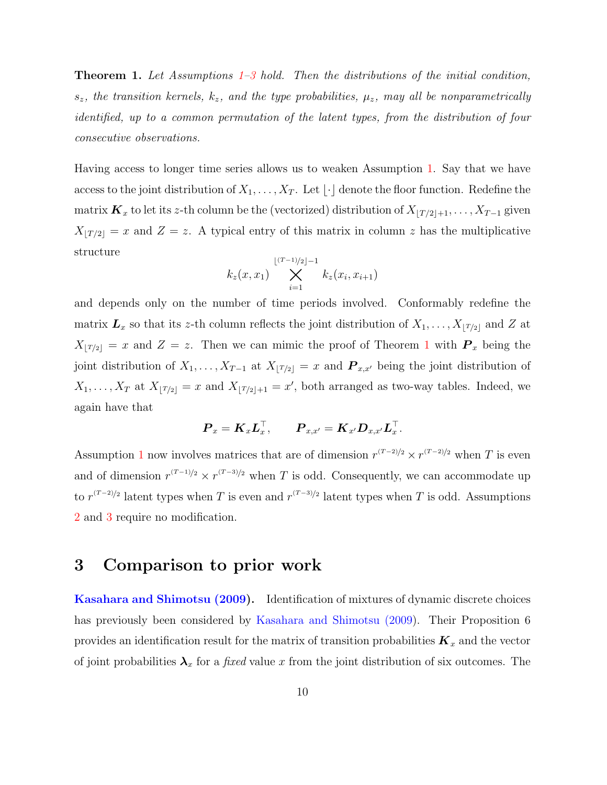<span id="page-9-0"></span>**Theorem 1.** Let Assumptions  $1-3$  $1-3$  hold. Then the distributions of the initial condition,  $s_z$ , the transition kernels,  $k_z$ , and the type probabilities,  $\mu_z$ , may all be nonparametrically identified, up to a common permutation of the latent types, from the distribution of four consecutive observations.

Having access to longer time series allows us to weaken Assumption [1.](#page-4-0) Say that we have access to the joint distribution of  $X_1, \ldots, X_T$ . Let  $\lfloor \cdot \rfloor$  denote the floor function. Redefine the matrix  $\mathbf{K}_x$  to let its z-th column be the (vectorized) distribution of  $X_{\lfloor T/2\rfloor +1}, \ldots, X_{T-1}$  given  $X_{\lfloor T/2\rfloor} = x$  and  $Z = z$ . A typical entry of this matrix in column z has the multiplicative structure

$$
k_z(x, x_1) \sum_{i=1}^{\lfloor (T-1)/2 \rfloor -1} k_z(x_i, x_{i+1})
$$

and depends only on the number of time periods involved. Conformably redefine the matrix  $\mathbf{L}_x$  so that its z-th column reflects the joint distribution of  $X_1, \ldots, X_{\lfloor T/2 \rfloor}$  and Z at  $X_{\lfloor T/2\rfloor} = x$  and  $Z = z$ . Then we can mimic the proof of Theorem [1](#page-9-0) with  $P_x$  being the joint distribution of  $X_1, \ldots, X_{T-1}$  at  $X_{\lfloor T/2\rfloor} = x$  and  $\mathbf{P}_{x,x'}$  being the joint distribution of  $X_1, \ldots, X_T$  at  $X_{|T/2|} = x$  and  $X_{|T/2|+1} = x'$ , both arranged as two-way tables. Indeed, we again have that

$$
\boldsymbol{P}_x = \boldsymbol{K}_x \boldsymbol{L}_x^\top, \qquad \boldsymbol{P}_{x,x'} = \boldsymbol{K}_{x'} \boldsymbol{D}_{x,x'} \boldsymbol{L}_x^\top.
$$

Assumption [1](#page-4-0) now involves matrices that are of dimension  $r^{(T-2)/2} \times r^{(T-2)/2}$  when T is even and of dimension  $r^{(T-1)/2} \times r^{(T-3)/2}$  when T is odd. Consequently, we can accommodate up to  $r^{(T-2)/2}$  latent types when T is even and  $r^{(T-3)/2}$  latent types when T is odd. Assumptions [2](#page-4-1) and [3](#page-5-1) require no modification.

### 3 Comparison to prior work

[Kasahara and Shimotsu \(2009\)](#page-19-0). Identification of mixtures of dynamic discrete choices has previously been considered by [Kasahara and Shimotsu \(2009\)](#page-19-0). Their Proposition 6 provides an identification result for the matrix of transition probabilities  $\boldsymbol{K}_x$  and the vector of joint probabilities  $\lambda_x$  for a *fixed* value x from the joint distribution of six outcomes. The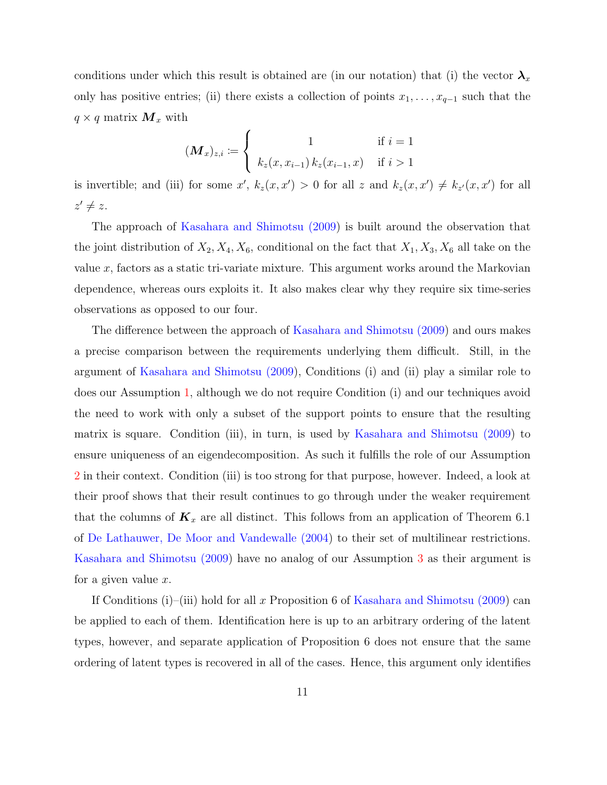conditions under which this result is obtained are (in our notation) that (i) the vector  $\lambda_x$ only has positive entries; (ii) there exists a collection of points  $x_1, \ldots, x_{q-1}$  such that the  $q \times q$  matrix  $\boldsymbol{M}_x$  with

$$
(\mathbf{M}_x)_{z,i} := \begin{cases} 1 & \text{if } i = 1 \\ k_z(x, x_{i-1}) k_z(x_{i-1}, x) & \text{if } i > 1 \end{cases}
$$

is invertible; and (iii) for some x',  $k_z(x, x') > 0$  for all z and  $k_z(x, x') \neq k_{z'}(x, x')$  for all  $z' \neq z$ .

The approach of [Kasahara and Shimotsu \(2009\)](#page-19-0) is built around the observation that the joint distribution of  $X_2, X_4, X_6$ , conditional on the fact that  $X_1, X_3, X_6$  all take on the value x, factors as a static tri-variate mixture. This argument works around the Markovian dependence, whereas ours exploits it. It also makes clear why they require six time-series observations as opposed to our four.

The difference between the approach of [Kasahara and Shimotsu \(2009\)](#page-19-0) and ours makes a precise comparison between the requirements underlying them difficult. Still, in the argument of [Kasahara and Shimotsu \(2009\)](#page-19-0), Conditions (i) and (ii) play a similar role to does our Assumption [1,](#page-4-0) although we do not require Condition (i) and our techniques avoid the need to work with only a subset of the support points to ensure that the resulting matrix is square. Condition (iii), in turn, is used by [Kasahara and Shimotsu \(2009\)](#page-19-0) to ensure uniqueness of an eigendecomposition. As such it fulfills the role of our Assumption [2](#page-4-1) in their context. Condition (iii) is too strong for that purpose, however. Indeed, a look at their proof shows that their result continues to go through under the weaker requirement that the columns of  $\mathbf{K}_x$  are all distinct. This follows from an application of Theorem 6.1 of [De Lathauwer, De Moor and Vandewalle \(2004\)](#page-18-4) to their set of multilinear restrictions. [Kasahara and Shimotsu \(2009\)](#page-19-0) have no analog of our Assumption [3](#page-5-1) as their argument is for a given value x.

If Conditions (i)–(iii) hold for all x Proposition 6 of [Kasahara and Shimotsu \(2009\)](#page-19-0) can be applied to each of them. Identification here is up to an arbitrary ordering of the latent types, however, and separate application of Proposition 6 does not ensure that the same ordering of latent types is recovered in all of the cases. Hence, this argument only identifies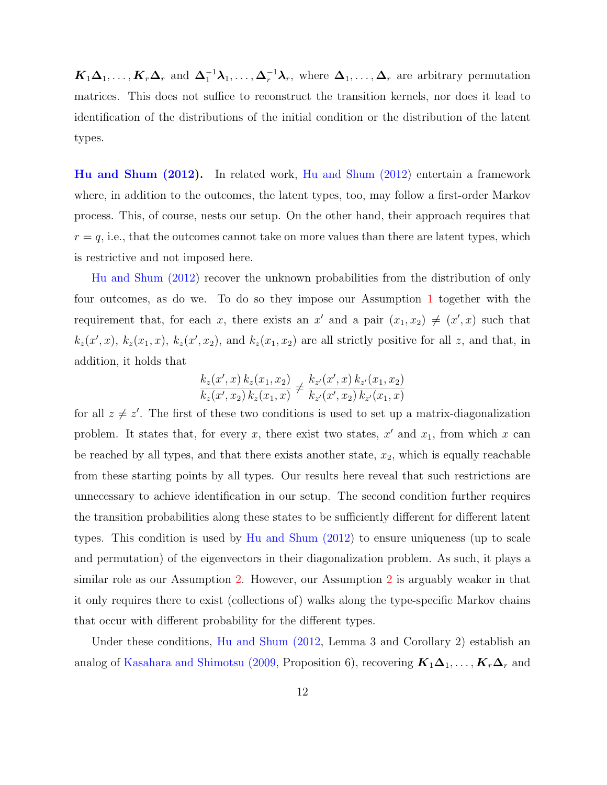$K_1\Delta_1,\ldots,K_r\Delta_r$  and  $\Delta_1^{-1}\lambda_1,\ldots,\Delta_r^{-1}\lambda_r$ , where  $\Delta_1,\ldots,\Delta_r$  are arbitrary permutation matrices. This does not suffice to reconstruct the transition kernels, nor does it lead to identification of the distributions of the initial condition or the distribution of the latent types.

[Hu and Shum \(2012\)](#page-19-1). In related work, [Hu and Shum \(2012\)](#page-19-1) entertain a framework where, in addition to the outcomes, the latent types, too, may follow a first-order Markov process. This, of course, nests our setup. On the other hand, their approach requires that  $r = q$ , i.e., that the outcomes cannot take on more values than there are latent types, which is restrictive and not imposed here.

[Hu and Shum \(2012\)](#page-19-1) recover the unknown probabilities from the distribution of only four outcomes, as do we. To do so they impose our Assumption [1](#page-4-0) together with the requirement that, for each x, there exists an x' and a pair  $(x_1, x_2) \neq (x', x)$  such that  $k_z(x',x)$ ,  $k_z(x_1,x)$ ,  $k_z(x',x_2)$ , and  $k_z(x_1,x_2)$  are all strictly positive for all z, and that, in addition, it holds that

$$
\frac{k_z(x',x) k_z(x_1,x_2)}{k_z(x',x_2) k_z(x_1,x)} \neq \frac{k_{z'}(x',x) k_{z'}(x_1,x_2)}{k_{z'}(x',x_2) k_{z'}(x_1,x)}
$$

for all  $z \neq z'$ . The first of these two conditions is used to set up a matrix-diagonalization problem. It states that, for every x, there exist two states,  $x'$  and  $x_1$ , from which x can be reached by all types, and that there exists another state,  $x_2$ , which is equally reachable from these starting points by all types. Our results here reveal that such restrictions are unnecessary to achieve identification in our setup. The second condition further requires the transition probabilities along these states to be sufficiently different for different latent types. This condition is used by [Hu and Shum \(2012\)](#page-19-1) to ensure uniqueness (up to scale and permutation) of the eigenvectors in their diagonalization problem. As such, it plays a similar role as our Assumption [2.](#page-4-1) However, our Assumption [2](#page-4-1) is arguably weaker in that it only requires there to exist (collections of) walks along the type-specific Markov chains that occur with different probability for the different types.

Under these conditions, [Hu and Shum \(2012,](#page-19-1) Lemma 3 and Corollary 2) establish an analog of [Kasahara and Shimotsu \(2009,](#page-19-0) Proposition 6), recovering  $K_1\Delta_1, \ldots, K_r\Delta_r$  and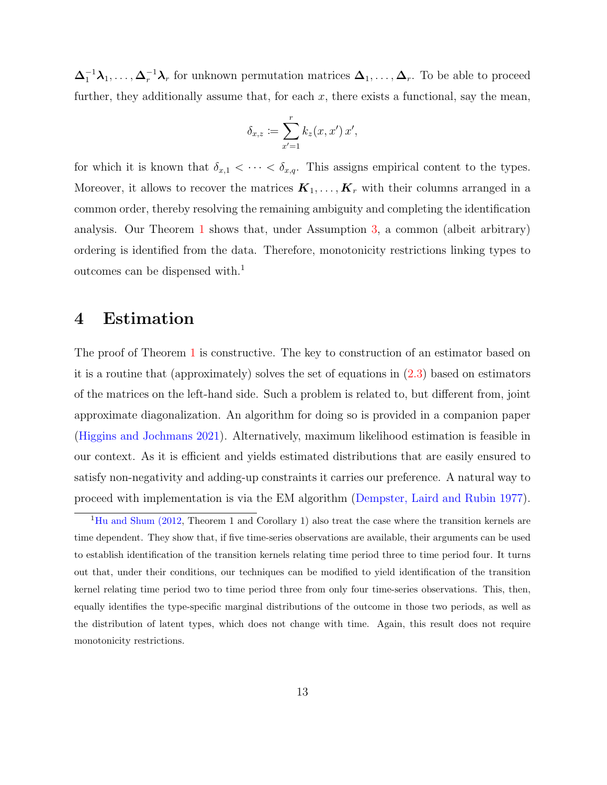$\Delta_1^{-1}\lambda_1,\ldots,\Delta_r^{-1}\lambda_r$  for unknown permutation matrices  $\Delta_1,\ldots,\Delta_r$ . To be able to proceed further, they additionally assume that, for each  $x$ , there exists a functional, say the mean,

$$
\delta_{x,z} \coloneqq \sum_{x'=1}^r k_z(x,x')\,x',
$$

for which it is known that  $\delta_{x,1} < \cdots < \delta_{x,q}$ . This assigns empirical content to the types. Moreover, it allows to recover the matrices  $\mathbf{K}_1, \ldots, \mathbf{K}_r$  with their columns arranged in a common order, thereby resolving the remaining ambiguity and completing the identification analysis. Our Theorem [1](#page-9-0) shows that, under Assumption [3,](#page-5-1) a common (albeit arbitrary) ordering is identified from the data. Therefore, monotonicity restrictions linking types to outcomes can be dispensed with.<sup>1</sup>

### 4 Estimation

The proof of Theorem [1](#page-9-0) is constructive. The key to construction of an estimator based on it is a routine that (approximately) solves the set of equations in [\(2.3\)](#page-6-0) based on estimators of the matrices on the left-hand side. Such a problem is related to, but different from, joint approximate diagonalization. An algorithm for doing so is provided in a companion paper [\(Higgins and Jochmans 2021\)](#page-19-5). Alternatively, maximum likelihood estimation is feasible in our context. As it is efficient and yields estimated distributions that are easily ensured to satisfy non-negativity and adding-up constraints it carries our preference. A natural way to proceed with implementation is via the EM algorithm [\(Dempster, Laird and Rubin 1977\)](#page-19-6).

<sup>&</sup>lt;sup>1</sup>[Hu and Shum \(2012,](#page-19-1) Theorem 1 and Corollary 1) also treat the case where the transition kernels are time dependent. They show that, if five time-series observations are available, their arguments can be used to establish identification of the transition kernels relating time period three to time period four. It turns out that, under their conditions, our techniques can be modified to yield identification of the transition kernel relating time period two to time period three from only four time-series observations. This, then, equally identifies the type-specific marginal distributions of the outcome in those two periods, as well as the distribution of latent types, which does not change with time. Again, this result does not require monotonicity restrictions.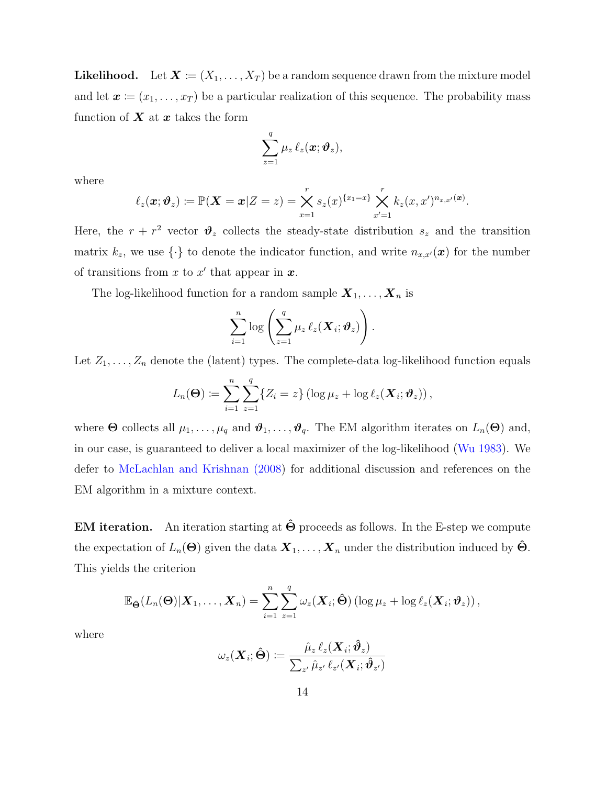**Likelihood.** Let  $\mathbf{X} \coloneqq (X_1, \ldots, X_T)$  be a random sequence drawn from the mixture model and let  $\mathbf{x} = (x_1, \ldots, x_T)$  be a particular realization of this sequence. The probability mass function of  $X$  at  $x$  takes the form

$$
\sum_{z=1}^q \mu_z \, \ell_z(\boldsymbol{x};\boldsymbol{\vartheta}_z),
$$

where

$$
\ell_z(\boldsymbol{x};\boldsymbol{\vartheta}_z) \coloneqq \mathbb{P}(\boldsymbol{X}=\boldsymbol{x}|Z=z) = \bigtimes_{x=1}^r s_z(x)^{\{x_1=x\}} \bigtimes_{x'=1}^r k_z(x,x')^{n_{x,x'}(\boldsymbol{x})}.
$$

Here, the  $r + r^2$  vector  $\mathcal{V}_z$  collects the steady-state distribution  $s_z$  and the transition matrix  $k_z$ , we use  $\{\cdot\}$  to denote the indicator function, and write  $n_{x,x'}(x)$  for the number of transitions from x to x' that appear in  $x$ .

The log-likelihood function for a random sample  $X_1, \ldots, X_n$  is

$$
\sum_{i=1}^n \log \left( \sum_{z=1}^q \mu_z \, \ell_z(\boldsymbol{X}_i; \boldsymbol{\vartheta}_z) \right).
$$

Let  $Z_1, \ldots, Z_n$  denote the (latent) types. The complete-data log-likelihood function equals

$$
L_n(\boldsymbol{\Theta}) \coloneqq \sum_{i=1}^n \sum_{z=1}^q \{Z_i = z\} \left(\log \mu_z + \log \ell_z(\boldsymbol{X}_i; \boldsymbol{\vartheta}_z)\right),
$$

where  $\Theta$  collects all  $\mu_1, \ldots, \mu_q$  and  $\vartheta_1, \ldots, \vartheta_q$ . The EM algorithm iterates on  $L_n(\Theta)$  and, in our case, is guaranteed to deliver a local maximizer of the log-likelihood [\(Wu 1983\)](#page-19-7). We defer to [McLachlan and Krishnan \(2008\)](#page-19-8) for additional discussion and references on the EM algorithm in a mixture context.

**EM iteration.** An iteration starting at  $\Theta$  proceeds as follows. In the E-step we compute the expectation of  $L_n(\Theta)$  given the data  $\mathbf{X}_1, \ldots, \mathbf{X}_n$  under the distribution induced by  $\Theta$ . This yields the criterion

$$
\mathbb{E}_{\hat{\Theta}}(L_n(\Theta)|\boldsymbol{X}_1,\ldots,\boldsymbol{X}_n)=\sum_{i=1}^n\sum_{z=1}^q\omega_z(\boldsymbol{X}_i;\hat{\Theta})\left(\log\mu_z+\log\ell_z(\boldsymbol{X}_i;\boldsymbol{\vartheta}_z)\right),
$$

where

$$
\omega_z(\bm{X}_i;\bm{\hat{\Theta}}) \coloneqq \frac{\hat{\mu}_z \, \ell_z(\bm{X}_i;\bm{\hat{\vartheta}}_z)}{\sum_{z'} \hat{\mu}_{z'} \, \ell_{z'}(\bm{X}_i;\bm{\hat{\vartheta}}_{z'})}
$$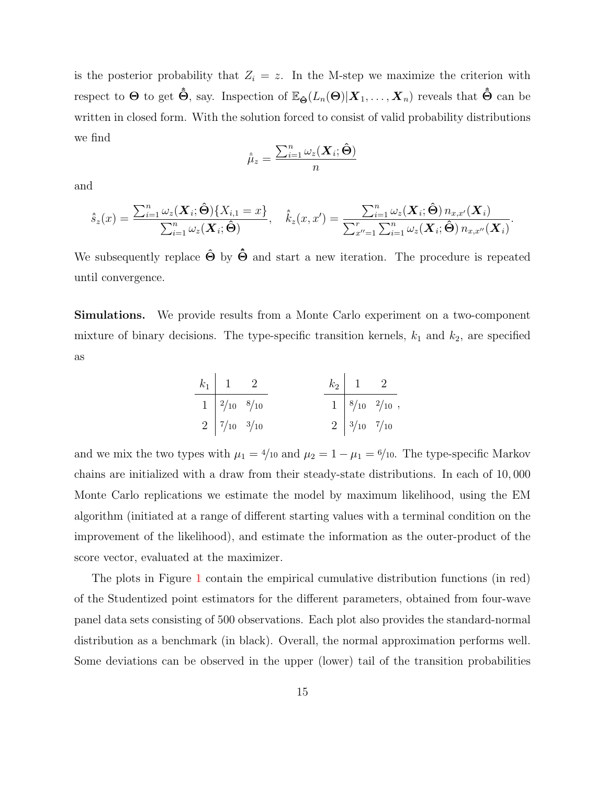is the posterior probability that  $Z_i = z$ . In the M-step we maximize the criterion with respect to  $\Theta$  to get  $\hat{\Theta}$ , say. Inspection of  $\mathbb{E}_{\hat{\Theta}}(L_n(\Theta)|\mathbf{X}_1,\ldots,\mathbf{X}_n)$  reveals that  $\hat{\Theta}$  can be written in closed form. With the solution forced to consist of valid probability distributions we find

$$
\hat{\hat{\mu}}_z = \frac{\sum_{i=1}^n \omega_z(\boldsymbol{X}_i; \hat{\boldsymbol{\Theta}})}{n}
$$

and

$$
\hat{s}_z(x) = \frac{\sum_{i=1}^n \omega_z(\boldsymbol{X}_i; \hat{\boldsymbol{\Theta}})\{X_{i,1} = x\}}{\sum_{i=1}^n \omega_z(\boldsymbol{X}_i; \hat{\boldsymbol{\Theta}})}, \quad \hat{k}_z(x, x') = \frac{\sum_{i=1}^n \omega_z(\boldsymbol{X}_i; \hat{\boldsymbol{\Theta}})\,n_{x,x'}(\boldsymbol{X}_i)}{\sum_{x''=1}^r \sum_{i=1}^n \omega_z(\boldsymbol{X}_i; \hat{\boldsymbol{\Theta}})\,n_{x,x'}(\boldsymbol{X}_i)}.
$$

We subsequently replace  $\hat{\Theta}$  by  $\hat{\Theta}$  and start a new iteration. The procedure is repeated until convergence.

Simulations. We provide results from a Monte Carlo experiment on a two-component mixture of binary decisions. The type-specific transition kernels,  $k_1$  and  $k_2$ , are specified as

| $k_1$ | 1              | 2              |                 |                |                |
|-------|----------------|----------------|-----------------|----------------|----------------|
| 1     | $\frac{2}{10}$ | $\frac{8}{10}$ | $\frac{k_2}{1}$ | $\frac{1}{8}$  | $\frac{2}{10}$ |
| 2     | $\frac{7}{10}$ | $\frac{3}{10}$ | $\frac{2}{10}$  | $\frac{3}{10}$ | $\frac{7}{10}$ |

and we mix the two types with  $\mu_1 = 4/10$  and  $\mu_2 = 1 - \mu_1 = 6/10$ . The type-specific Markov chains are initialized with a draw from their steady-state distributions. In each of 10, 000 Monte Carlo replications we estimate the model by maximum likelihood, using the EM algorithm (initiated at a range of different starting values with a terminal condition on the improvement of the likelihood), and estimate the information as the outer-product of the score vector, evaluated at the maximizer.

The plots in Figure [1](#page-15-0) contain the empirical cumulative distribution functions (in red) of the Studentized point estimators for the different parameters, obtained from four-wave panel data sets consisting of 500 observations. Each plot also provides the standard-normal distribution as a benchmark (in black). Overall, the normal approximation performs well. Some deviations can be observed in the upper (lower) tail of the transition probabilities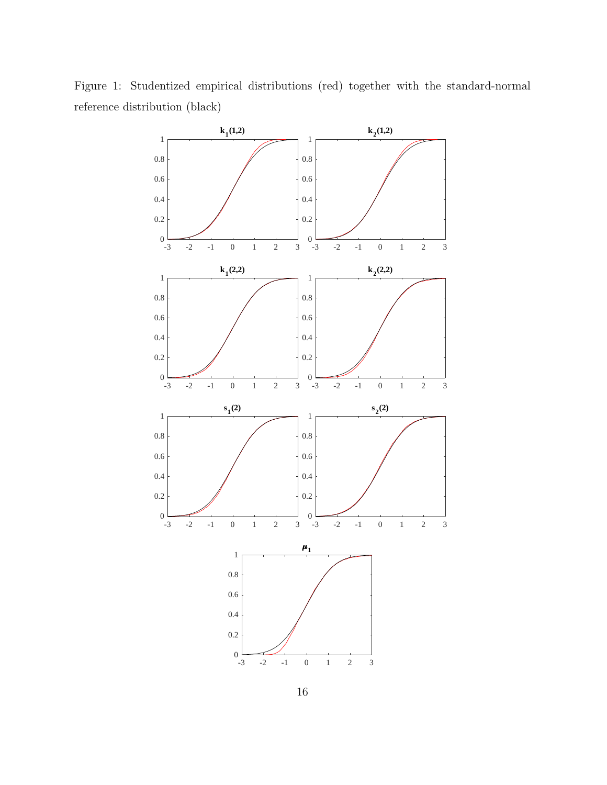<span id="page-15-0"></span>Figure 1: Studentized empirical distributions (red) together with the standard-normal reference distribution (black)

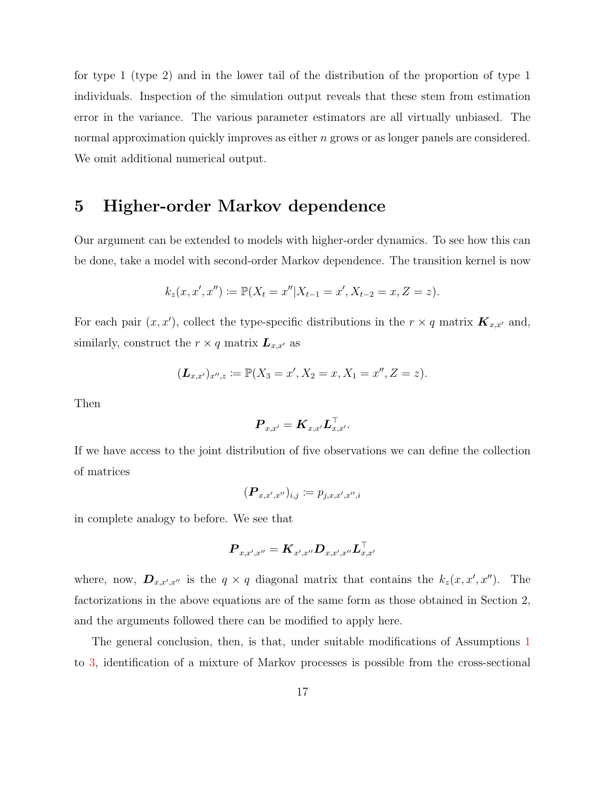for type 1 (type 2) and in the lower tail of the distribution of the proportion of type 1 individuals. Inspection of the simulation output reveals that these stem from estimation error in the variance. The various parameter estimators are all virtually unbiased. The normal approximation quickly improves as either n grows or as longer panels are considered. We omit additional numerical output.

### 5 Higher-order Markov dependence

Our argument can be extended to models with higher-order dynamics. To see how this can be done, take a model with second-order Markov dependence. The transition kernel is now

$$
k_z(x, x', x'') := \mathbb{P}(X_t = x'' | X_{t-1} = x', X_{t-2} = x, Z = z).
$$

For each pair  $(x, x')$ , collect the type-specific distributions in the  $r \times q$  matrix  $\mathbf{K}_{x,x'}$  and, similarly, construct the  $r \times q$  matrix  $\mathbf{L}_{x,x'}$  as

$$
(\mathbf{L}_{x,x'})_{x'',z} \coloneqq \mathbb{P}(X_3 = x', X_2 = x, X_1 = x'', Z = z).
$$

Then

$$
\boldsymbol{P}_{x,x'} = \boldsymbol{K}_{x,x'} \boldsymbol{L}_{x,x'}^\top.
$$

If we have access to the joint distribution of five observations we can define the collection of matrices

$$
(\boldsymbol{P}_{x,x',x''})_{i,j} \coloneqq p_{j,x,x',x'',i}
$$

in complete analogy to before. We see that

$$
\boldsymbol{P}_{x,x',x''} = \boldsymbol{K}_{x',x''} \boldsymbol{D}_{x,x',x''} \boldsymbol{L}_{x,x'}^\top
$$

where, now,  $\mathbf{D}_{x,x',x''}$  is the  $q \times q$  diagonal matrix that contains the  $k_z(x, x', x'')$ . The factorizations in the above equations are of the same form as those obtained in Section 2, and the arguments followed there can be modified to apply here.

The general conclusion, then, is that, under suitable modifications of Assumptions [1](#page-4-0) to [3,](#page-5-1) identification of a mixture of Markov processes is possible from the cross-sectional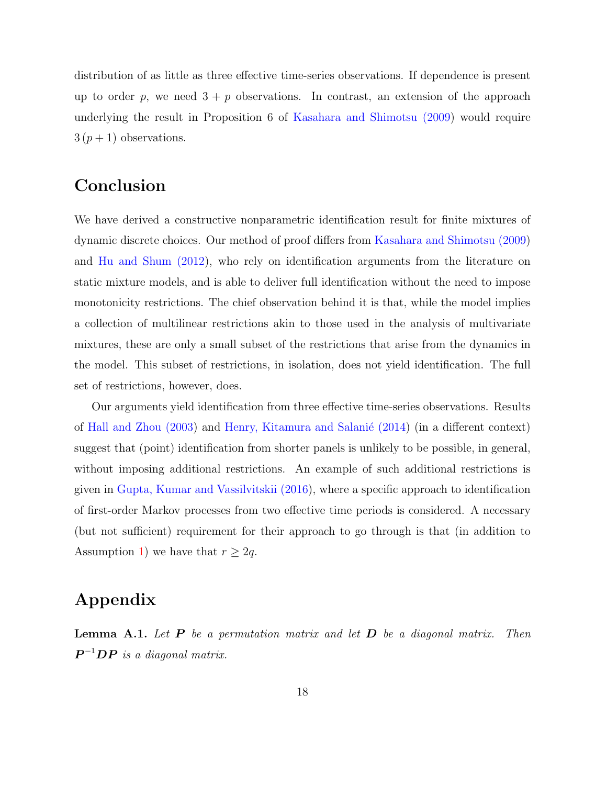distribution of as little as three effective time-series observations. If dependence is present up to order p, we need  $3 + p$  observations. In contrast, an extension of the approach underlying the result in Proposition 6 of [Kasahara and Shimotsu \(2009\)](#page-19-0) would require  $3(p+1)$  observations.

## Conclusion

We have derived a constructive nonparametric identification result for finite mixtures of dynamic discrete choices. Our method of proof differs from [Kasahara and Shimotsu \(2009\)](#page-19-0) and [Hu and Shum \(2012\)](#page-19-1), who rely on identification arguments from the literature on static mixture models, and is able to deliver full identification without the need to impose monotonicity restrictions. The chief observation behind it is that, while the model implies a collection of multilinear restrictions akin to those used in the analysis of multivariate mixtures, these are only a small subset of the restrictions that arise from the dynamics in the model. This subset of restrictions, in isolation, does not yield identification. The full set of restrictions, however, does.

Our arguments yield identification from three effective time-series observations. Results of Hall and Zhou  $(2003)$  and Henry, Kitamura and Salanié  $(2014)$  (in a different context) suggest that (point) identification from shorter panels is unlikely to be possible, in general, without imposing additional restrictions. An example of such additional restrictions is given in [Gupta, Kumar and Vassilvitskii \(2016\)](#page-19-11), where a specific approach to identification of first-order Markov processes from two effective time periods is considered. A necessary (but not sufficient) requirement for their approach to go through is that (in addition to Assumption [1\)](#page-4-0) we have that  $r \geq 2q$ .

# Appendix

<span id="page-17-0"></span>**Lemma A.1.** Let  $P$  be a permutation matrix and let  $D$  be a diagonal matrix. Then  $\boldsymbol{P}^{-1}\boldsymbol{D}\boldsymbol{P}$  is a diagonal matrix.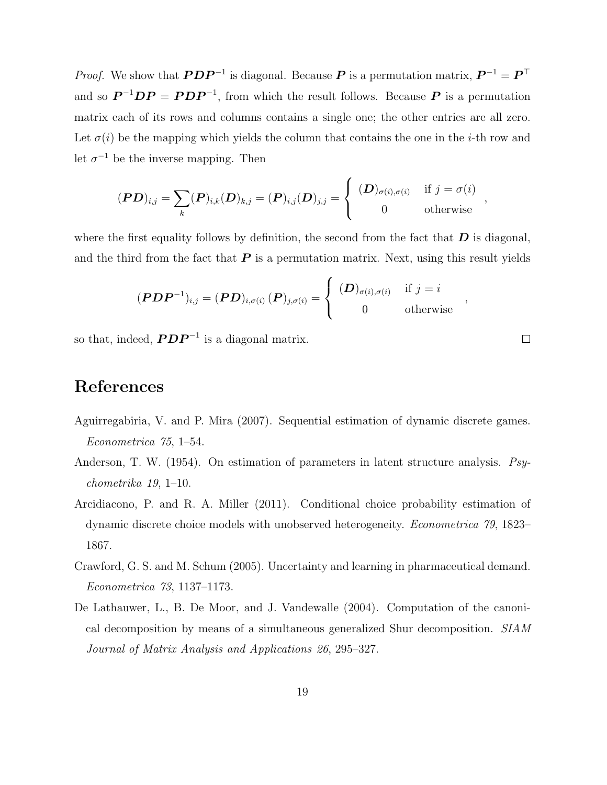*Proof.* We show that  $\boldsymbol{PDP}^{-1}$  is diagonal. Because  $\boldsymbol{P}$  is a permutation matrix,  $\boldsymbol{P}^{-1} = \boldsymbol{P}^{\top}$ and so  $\mathbf{P}^{-1}\mathbf{D}\mathbf{P} = \mathbf{P}\mathbf{D}\mathbf{P}^{-1}$ , from which the result follows. Because  $\mathbf{P}$  is a permutation matrix each of its rows and columns contains a single one; the other entries are all zero. Let  $\sigma(i)$  be the mapping which yields the column that contains the one in the *i*-th row and let  $\sigma^{-1}$  be the inverse mapping. Then

$$
(\boldsymbol{PD})_{i,j} = \sum_{k} (\boldsymbol{P})_{i,k} (\boldsymbol{D})_{k,j} = (\boldsymbol{P})_{i,j} (\boldsymbol{D})_{j,j} = \begin{cases} (\boldsymbol{D})_{\sigma(i), \sigma(i)} & \text{if } j = \sigma(i) \\ 0 & \text{otherwise} \end{cases}
$$

where the first equality follows by definition, the second from the fact that  $\bm{D}$  is diagonal, and the third from the fact that  $P$  is a permutation matrix. Next, using this result yields

$$
(\boldsymbol{PDP}^{-1})_{i,j} = (\boldsymbol{PD})_{i,\sigma(i)} (\boldsymbol{P})_{j,\sigma(i)} = \begin{cases} (\boldsymbol{D})_{\sigma(i),\sigma(i)} & \text{if } j = i \\ 0 & \text{otherwise} \end{cases}
$$

so that, indeed,  $\boldsymbol{PDP}^{-1}$  is a diagonal matrix.

# References

- <span id="page-18-1"></span>Aguirregabiria, V. and P. Mira (2007). Sequential estimation of dynamic discrete games. Econometrica 75, 1–54.
- <span id="page-18-3"></span>Anderson, T. W. (1954). On estimation of parameters in latent structure analysis. Psychometrika 19, 1–10.
- <span id="page-18-2"></span>Arcidiacono, P. and R. A. Miller (2011). Conditional choice probability estimation of dynamic discrete choice models with unobserved heterogeneity. Econometrica 79, 1823– 1867.
- <span id="page-18-0"></span>Crawford, G. S. and M. Schum (2005). Uncertainty and learning in pharmaceutical demand. Econometrica 73, 1137–1173.
- <span id="page-18-4"></span>De Lathauwer, L., B. De Moor, and J. Vandewalle (2004). Computation of the canonical decomposition by means of a simultaneous generalized Shur decomposition. SIAM Journal of Matrix Analysis and Applications 26, 295–327.

 $\Box$ 

,

,